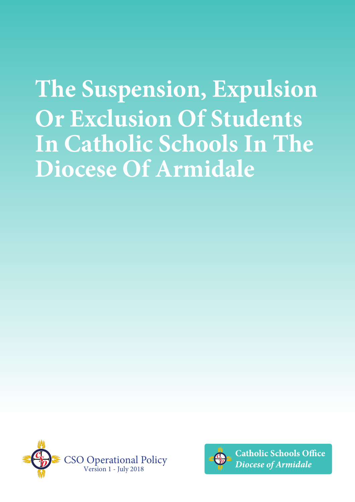**The Suspension, Expulsion Or Exclusion Of Students In Catholic Schools In The Diocese Of Armidale** 





**Catholic Schools Office Diocese of Armidale**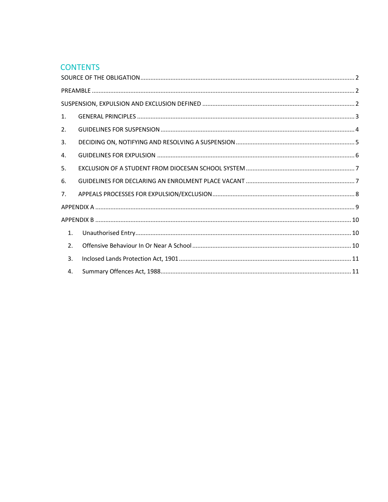# **CONTENTS**

| 1. |  |  |
|----|--|--|
| 2. |  |  |
| 3. |  |  |
| 4. |  |  |
| 5. |  |  |
| 6. |  |  |
| 7. |  |  |
|    |  |  |
|    |  |  |
| 1. |  |  |
| 2. |  |  |
| 3. |  |  |
| 4. |  |  |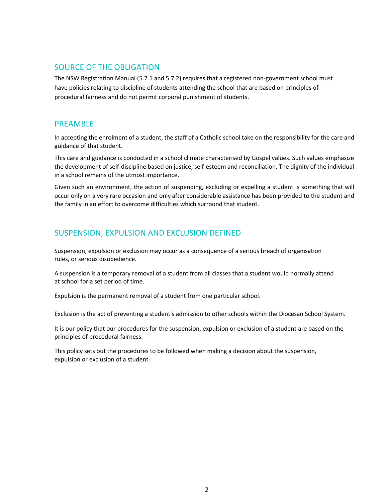### <span id="page-2-0"></span>SOURCE OF THE OBLIGATION

The NSW Registration Manual (5.7.1 and 5.7.2) requires that a registered non-government school must have policies relating to discipline of students attending the school that are based on principles of procedural fairness and do not permit corporal punishment of students.

### <span id="page-2-1"></span>PREAMBLE

In accepting the enrolment of a student, the staff of a Catholic school take on the responsibility for the care and guidance of that student.

This care and guidance is conducted in a school climate characterised by Gospel values. Such values emphasize the development of self-discipline based on justice, self-esteem and reconciliation. The dignity of the individual in a school remains of the utmost importance.

Given such an environment, the action of suspending, excluding or expelling a student is something that will occur only on a very rare occasion and only after considerable assistance has been provided to the student and the family in an effort to overcome difficulties which surround that student.

# <span id="page-2-2"></span>SUSPENSION, EXPULSION AND EXCLUSION DEFINED

Suspension, expulsion or exclusion may occur as a consequence of a serious breach of organisation rules, or serious disobedience.

A suspension is a temporary removal of a student from all classes that a student would normally attend at school for a set period of time.

Expulsion is the permanent removal of a student from one particular school.

Exclusion is the act of preventing a student's admission to other schools within the Diocesan School System.

It is our policy that our procedures for the suspension, expulsion or exclusion of a student are based on the principles of procedural fairness.

This policy sets out the procedures to be followed when making a decision about the suspension, expulsion or exclusion of a student.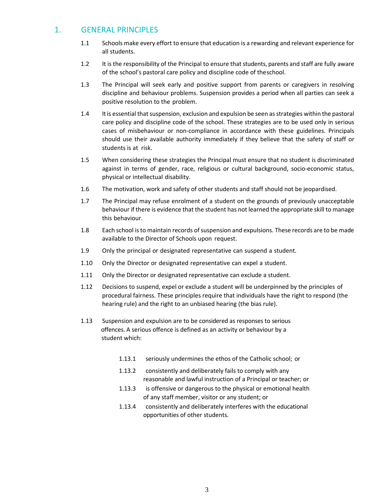## <span id="page-3-0"></span>1. GENERAL PRINCIPLES

- 1.1 Schools make every effort to ensure that education is a rewarding and relevant experience for all students.
- 1.2 It is the responsibility of the Principal to ensure that students, parents and staff are fully aware of the school's pastoral care policy and discipline code of theschool.
- 1.3 The Principal will seek early and positive support from parents or caregivers in resolving discipline and behaviour problems. Suspension provides a period when all parties can seek a positive resolution to the problem.
- 1.4 It is essential that suspension, exclusion and expulsion be seen as strategies within the pastoral care policy and discipline code of the school. These strategies are to be used only in serious cases of misbehaviour or non-compliance in accordance with these guidelines. Principals should use their available authority immediately if they believe that the safety of staff or students is at risk.
- 1.5 When considering these strategies the Principal must ensure that no student is discriminated against in terms of gender, race, religious or cultural background, socio-economic status, physical or intellectual disability.
- 1.6 The motivation, work and safety of other students and staff should not be jeopardised.
- 1.7 The Principal may refuse enrolment of a student on the grounds of previously unacceptable behaviour if there is evidence that the student has not learned the appropriate skill to manage this behaviour.
- 1.8 Each school is to maintain records of suspension and expulsions. These records are to be made available to the Director of Schools upon request.
- 1.9 Only the principal or designated representative can suspend a student.
- 1.10 Only the Director or designated representative can expel a student.
- 1.11 Only the Director or designated representative can exclude a student.
- 1.12 Decisions to suspend, expel or exclude a student will be underpinned by the principles of procedural fairness. These principles require that individuals have the right to respond (the hearing rule) and the right to an unbiased hearing (the bias rule).
- 1.13 Suspension and expulsion are to be considered as responses to serious offences. A serious offence is defined as an activity or behaviour by a student which:
	- 1.13.1 seriously undermines the ethos of the Catholic school; or
	- 1.13.2 consistently and deliberately fails to comply with any reasonable and lawful instruction of a Principal or teacher; or
	- 1.13.3 is offensive or dangerous to the physical or emotional health of any staff member, visitor or any student; or
	- 1.13.4 consistently and deliberately interferes with the educational opportunities of other students.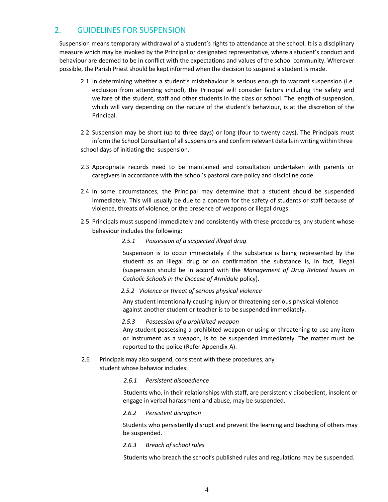# <span id="page-4-0"></span>2. GUIDELINES FOR SUSPENSION

Suspension means temporary withdrawal of a student's rights to attendance at the school. It is a disciplinary measure which may be invoked by the Principal or designated representative, where a student's conduct and behaviour are deemed to be in conflict with the expectations and values of the school community. Wherever possible, the Parish Priest should be kept informed when the decision to suspend a student is made.

- 2.1 In determining whether a student's misbehaviour is serious enough to warrant suspension (i.e. exclusion from attending school), the Principal will consider factors including the safety and welfare of the student, staff and other students in the class or school. The length of suspension, which will vary depending on the nature of the student's behaviour, is at the discretion of the Principal.
- 2.2 Suspension may be short (up to three days) or long (four to twenty days). The Principals must inform the School Consultant of all suspensions and confirm relevant details in writing within three school days of initiating the suspension.
- 2.3 Appropriate records need to be maintained and consultation undertaken with parents or caregivers in accordance with the school's pastoral care policy and discipline code.
- 2.4 In some circumstances, the Principal may determine that a student should be suspended immediately. This will usually be due to a concern for the safety of students or staff because of violence, threats of violence, or the presence of weapons or illegal drugs.
- 2.5 Principals must suspend immediately and consistently with these procedures, any student whose behaviour includes the following:
	- *2.5.1 Possession of a suspected illegal drug*

Suspension is to occur immediately if the substance is being represented by the student as an illegal drug or on confirmation the substance is, in fact, illegal (suspension should be in accord with the *Management of Drug Related Issues in Catholic Schools in the Diocese of Armidale* policy).

#### *2.5.2 Violence or threat of serious physical violence*

Any student intentionally causing injury or threatening serious physical violence against another student or teacher is to be suspended immediately.

#### *2.5.3 Possession of a prohibited weapon*

Any student possessing a prohibited weapon or using or threatening to use any item or instrument as a weapon, is to be suspended immediately. The matter must be reported to the police (Refer Appendix A).

2.6 Principals may also suspend, consistent with these procedures, any student whose behavior includes:

#### *2.6.1 Persistent disobedience*

Students who, in their relationships with staff, are persistently disobedient, insolent or engage in verbal harassment and abuse, may be suspended.

#### *2.6.2 Persistent disruption*

Students who persistently disrupt and prevent the learning and teaching of others may be suspended.

#### *2.6.3 Breach of school rules*

Students who breach the school's published rules and regulations may be suspended.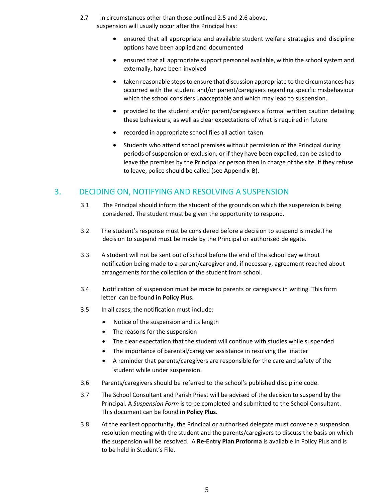- 2.7 In circumstances other than those outlined 2.5 and 2.6 above, suspension will usually occur after the Principal has:
	- ensured that all appropriate and available student welfare strategies and discipline options have been applied and documented
	- ensured that all appropriate support personnel available, within the school system and externally, have been involved
	- taken reasonable steps to ensure that discussion appropriate to the circumstances has occurred with the student and/or parent/caregivers regarding specific misbehaviour which the school considers unacceptable and which may lead to suspension.
	- provided to the student and/or parent/caregivers a formal written caution detailing these behaviours, as well as clear expectations of what is required in future
	- recorded in appropriate school files all action taken
	- Students who attend school premises without permission of the Principal during periods of suspension or exclusion, or if they have been expelled, can be asked to leave the premises by the Principal or person then in charge of the site. If they refuse to leave, police should be called (see Appendix B).

## <span id="page-5-0"></span>3. DECIDING ON, NOTIFYING AND RESOLVING A SUSPENSION

- 3.1 The Principal should inform the student of the grounds on which the suspension is being considered. The student must be given the opportunity to respond.
- 3.2 The student's response must be considered before a decision to suspend is made.The decision to suspend must be made by the Principal or authorised delegate.
- 3.3 A student will not be sent out of school before the end of the school day without notification being made to a parent/caregiver and, if necessary, agreement reached about arrangements for the collection of the student from school.
- 3.4 Notification of suspension must be made to parents or caregivers in writing. This form letter can be found **in Policy Plus.**
- 3.5 In all cases, the notification must include:
	- Notice of the suspension and its length
	- The reasons for the suspension
	- The clear expectation that the student will continue with studies while suspended
	- The importance of parental/caregiver assistance in resolving the matter
	- A reminder that parents/caregivers are responsible for the care and safety of the student while under suspension.
- 3.6 Parents/caregivers should be referred to the school's published discipline code.
- 3.7 The School Consultant and Parish Priest will be advised of the decision to suspend by the Principal. A *Suspension Form* is to be completed and submitted to the School Consultant. This document can be found **in Policy Plus.**
- 3.8 At the earliest opportunity, the Principal or authorised delegate must convene a suspension resolution meeting with the student and the parents/caregivers to discuss the basis on which the suspension will be resolved. A **Re-Entry Plan Proforma** is available in Policy Plus and is to be held in Student's File.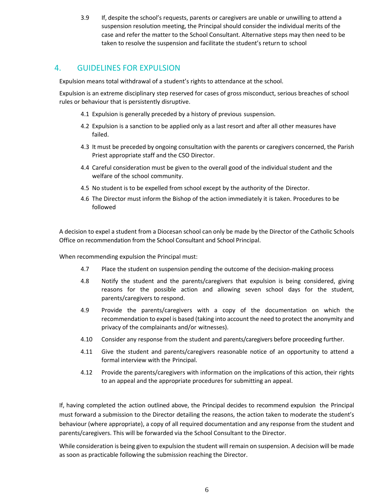3.9 If, despite the school's requests, parents or caregivers are unable or unwilling to attend a suspension resolution meeting, the Principal should consider the individual merits of the case and refer the matter to the School Consultant. Alternative steps may then need to be taken to resolve the suspension and facilitate the student's return to school

## <span id="page-6-0"></span>4. GUIDELINES FOR EXPULSION

Expulsion means total withdrawal of a student's rights to attendance at the school.

Expulsion is an extreme disciplinary step reserved for cases of gross misconduct, serious breaches of school rules or behaviour that is persistently disruptive.

- 4.1 Expulsion is generally preceded by a history of previous suspension.
- 4.2 Expulsion is a sanction to be applied only as a last resort and after all other measures have failed.
- 4.3 It must be preceded by ongoing consultation with the parents or caregivers concerned, the Parish Priest appropriate staff and the CSO Director.
- 4.4 Careful consideration must be given to the overall good of the individual student and the welfare of the school community.
- 4.5 No student is to be expelled from school except by the authority of the Director.
- 4.6 The Director must inform the Bishop of the action immediately it is taken. Procedures to be followed

A decision to expel a student from a Diocesan school can only be made by the Director of the Catholic Schools Office on recommendation from the School Consultant and School Principal.

When recommending expulsion the Principal must:

- 4.7 Place the student on suspension pending the outcome of the decision-making process
- 4.8 Notify the student and the parents/caregivers that expulsion is being considered, giving reasons for the possible action and allowing seven school days for the student, parents/caregivers to respond.
- 4.9 Provide the parents/caregivers with a copy of the documentation on which the recommendation to expel is based (taking into account the need to protect the anonymity and privacy of the complainants and/or witnesses).
- 4.10 Consider any response from the student and parents/caregivers before proceeding further.
- 4.11 Give the student and parents/caregivers reasonable notice of an opportunity to attend a formal interview with the Principal.
- 4.12 Provide the parents/caregivers with information on the implications of this action, their rights to an appeal and the appropriate procedures for submitting an appeal.

If, having completed the action outlined above, the Principal decides to recommend expulsion the Principal must forward a submission to the Director detailing the reasons, the action taken to moderate the student's behaviour (where appropriate), a copy of all required documentation and any response from the student and parents/caregivers. This will be forwarded via the School Consultant to the Director.

While consideration is being given to expulsion the student will remain on suspension. A decision will be made as soon as practicable following the submission reaching the Director.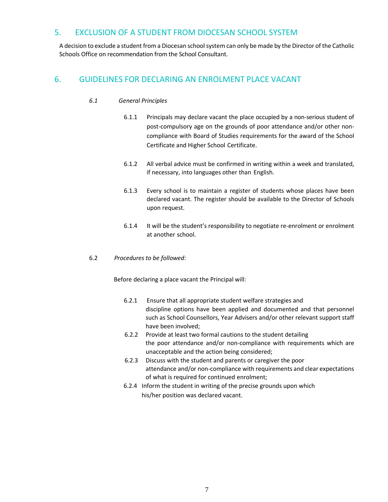## <span id="page-7-0"></span>5. EXCLUSION OF A STUDENT FROM DIOCESAN SCHOOL SYSTEM

A decision to exclude a student from a Diocesan school system can only be made by the Director of the Catholic Schools Office on recommendation from the School Consultant.

## <span id="page-7-1"></span>6. GUIDELINES FOR DECLARING AN ENROLMENT PLACE VACANT

#### *6.1 General Principles*

- 6.1.1 Principals may declare vacant the place occupied by a non-serious student of post-compulsory age on the grounds of poor attendance and/or other noncompliance with Board of Studies requirements for the award of the School Certificate and Higher School Certificate.
- 6.1.2 All verbal advice must be confirmed in writing within a week and translated, if necessary, into languages other than English.
- 6.1.3 Every school is to maintain a register of students whose places have been declared vacant. The register should be available to the Director of Schools upon request.
- 6.1.4 It will be the student's responsibility to negotiate re-enrolment or enrolment at another school.
- 6.2 *Procedures to be followed:*

Before declaring a place vacant the Principal will:

- 6.2.1 Ensure that all appropriate student welfare strategies and discipline options have been applied and documented and that personnel such as School Counsellors, Year Advisers and/or other relevant support staff have been involved;
- 6.2.2 Provide at least two formal cautions to the student detailing the poor attendance and/or non-compliance with requirements which are unacceptable and the action being considered;
- 6.2.3 Discuss with the student and parents or caregiver the poor attendance and/or non-compliance with requirements and clear expectations of what is required for continued enrolment;
- 6.2.4 Inform the student in writing of the precise grounds upon which his/her position was declared vacant.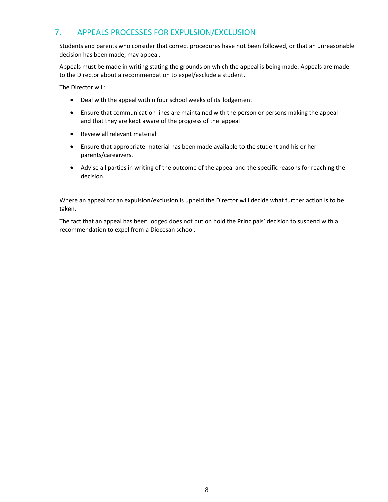# <span id="page-8-0"></span>7. APPEALS PROCESSES FOR EXPULSION/EXCLUSION

Students and parents who consider that correct procedures have not been followed, or that an unreasonable decision has been made, may appeal.

Appeals must be made in writing stating the grounds on which the appeal is being made. Appeals are made to the Director about a recommendation to expel/exclude a student.

The Director will:

- Deal with the appeal within four school weeks of its lodgement
- Ensure that communication lines are maintained with the person or persons making the appeal and that they are kept aware of the progress of the appeal
- Review all relevant material
- Ensure that appropriate material has been made available to the student and his or her parents/caregivers.
- Advise all parties in writing of the outcome of the appeal and the specific reasons for reaching the decision.

Where an appeal for an expulsion/exclusion is upheld the Director will decide what further action is to be taken.

The fact that an appeal has been lodged does not put on hold the Principals' decision to suspend with a recommendation to expel from a Diocesan school.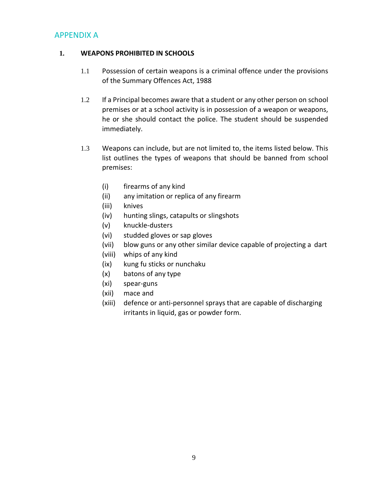## <span id="page-9-0"></span>APPENDIX A

#### **1. WEAPONS PROHIBITED IN SCHOOLS**

- 1.1 Possession of certain weapons is a criminal offence under the provisions of the Summary Offences Act, 1988
- 1.2 If a Principal becomes aware that a student or any other person on school premises or at a school activity is in possession of a weapon or weapons, he or she should contact the police. The student should be suspended immediately.
- 1.3 Weapons can include, but are not limited to, the items listed below. This list outlines the types of weapons that should be banned from school premises:
	- (i) firearms of any kind
	- (ii) any imitation or replica of any firearm
	- (iii) knives
	- (iv) hunting slings, catapults or slingshots
	- (v) knuckle-dusters
	- (vi) studded gloves or sap gloves
	- (vii) blow guns or any other similar device capable of projecting a dart
	- (viii) whips of any kind
	- (ix) kung fu sticks or nunchaku
	- (x) batons of any type
	- (xi) spear-guns
	- (xii) mace and
	- (xiii) defence or anti-personnel sprays that are capable of discharging irritants in liquid, gas or powder form.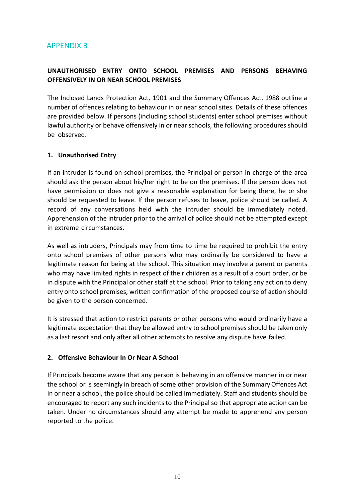# <span id="page-10-0"></span>APPENDIX B

## **UNAUTHORISED ENTRY ONTO SCHOOL PREMISES AND PERSONS BEHAVING OFFENSIVELY IN OR NEAR SCHOOL PREMISES**

<span id="page-10-1"></span>The Inclosed Lands Protection Act, 1901 and the Summary Offences Act, 1988 outline a number of offences relating to behaviour in or near school sites. Details of these offences are provided below. If persons (including school students) enter school premises without lawful authority or behave offensively in or near schools, the following procedures should be observed.

### **1. Unauthorised Entry**

If an intruder is found on school premises, the Principal or person in charge of the area should ask the person about his/her right to be on the premises. If the person does not have permission or does not give a reasonable explanation for being there, he or she should be requested to leave. If the person refuses to leave, police should be called. A record of any conversations held with the intruder should be immediately noted. Apprehension of the intruder prior to the arrival of police should not be attempted except in extreme circumstances.

As well as intruders, Principals may from time to time be required to prohibit the entry onto school premises of other persons who may ordinarily be considered to have a legitimate reason for being at the school. This situation may involve a parent or parents who may have limited rights in respect of their children as a result of a court order, or be in dispute with the Principal or other staff at the school. Prior to taking any action to deny entry onto school premises, written confirmation of the proposed course of action should be given to the person concerned.

<span id="page-10-2"></span>It is stressed that action to restrict parents or other persons who would ordinarily have a legitimate expectation that they be allowed entry to school premises should be taken only as a last resort and only after all other attempts to resolve any dispute have failed.

### **2. Offensive Behaviour In Or Near A School**

If Principals become aware that any person is behaving in an offensive manner in or near the school or is seemingly in breach of some other provision of the Summary Offences Act in or near a school, the police should be called immediately. Staff and students should be encouraged to report any such incidents to the Principal so that appropriate action can be taken. Under no circumstances should any attempt be made to apprehend any person reported to the police.